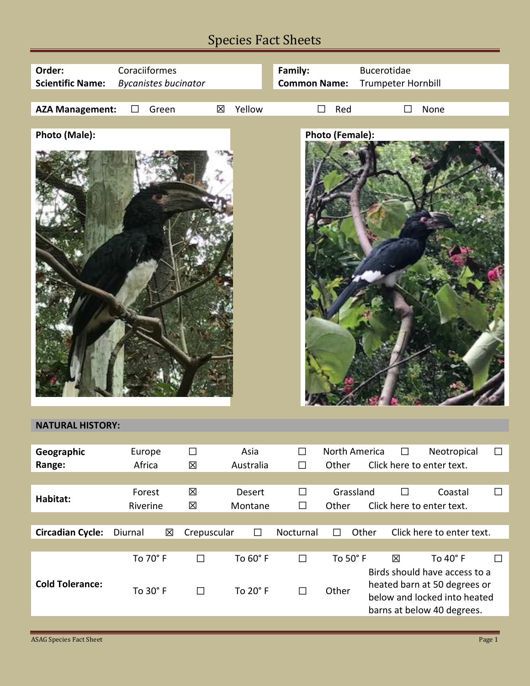## Species Fact Sheets

| Order:<br><b>Scientific Name:</b> | Coraciiformes      | <b>Bycanistes bucinator</b> |             |   |                        | Family:<br><b>Common Name:</b> |                        | <b>Bucerotidae</b> | Trumpeter Hornbill |                                                                           |        |
|-----------------------------------|--------------------|-----------------------------|-------------|---|------------------------|--------------------------------|------------------------|--------------------|--------------------|---------------------------------------------------------------------------|--------|
|                                   |                    |                             |             |   |                        |                                |                        |                    |                    |                                                                           |        |
| <b>AZA Management:</b>            | $\Box$             | Green                       |             | 区 | Yellow                 |                                | Red<br>$\Box$          |                    | П                  | None                                                                      |        |
| Photo (Male):                     |                    |                             |             |   |                        |                                | <b>Photo (Female):</b> |                    |                    |                                                                           |        |
|                                   |                    |                             |             |   |                        |                                |                        |                    |                    |                                                                           |        |
| <b>NATURAL HISTORY:</b>           |                    |                             |             |   |                        |                                |                        |                    |                    |                                                                           |        |
| Geographic<br>Range:              | Europe<br>Africa   |                             | $\Box$<br>区 |   | Asia<br>Australia      | $\Box$<br>$\Box$               | Other                  | North America      | $\Box$             | Neotropical<br>Click here to enter text.                                  | $\Box$ |
| Habitat:                          | Forest<br>Riverine |                             | 区<br>区      |   | Desert<br>Montane      | $\Box$<br>$\Box$               | Other                  | Grassland          | $\Box$             | Coastal<br>Click here to enter text.                                      | $\Box$ |
|                                   |                    |                             |             |   |                        |                                |                        |                    |                    |                                                                           |        |
| <b>Circadian Cycle:</b>           | Diurnal            | 区                           | Crepuscular |   | $\Box$                 | Nocturnal                      | $\Box$                 | Other              |                    | Click here to enter text.                                                 |        |
| <b>Cold Tolerance:</b>            |                    | To 70° F<br>$T - 200r$      | $\Box$      |   | To 60° F<br>$T - 200F$ | $\Box$                         | To 50° F<br>$\sim$     |                    | 区                  | To 40° F<br>Birds should have access to a<br>heated barn at 50 degrees or | $\Box$ |

To 30° F □ To 20° F □ Other

below and locked into heated barns at below 40 degrees.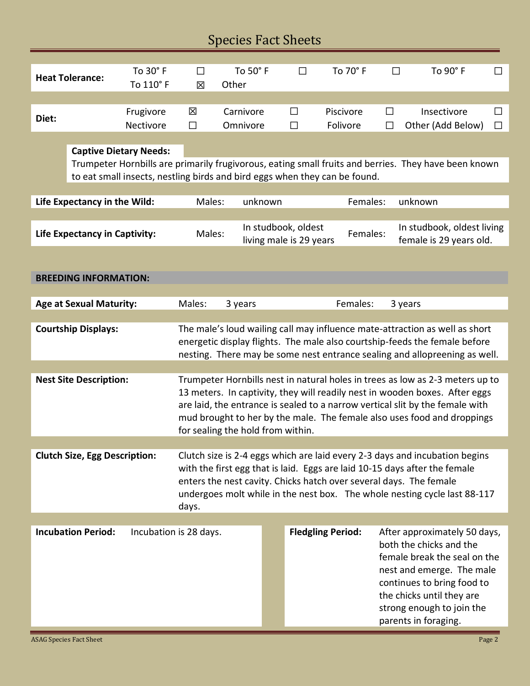| <b>Species Fact Sheets</b>                                       |                           |                                                                            |                                                                                                                                                                                                                                                                                                                                                               |                  |                       |                          |                                  |                                                                                                                                                                                                                                         |  |  |  |
|------------------------------------------------------------------|---------------------------|----------------------------------------------------------------------------|---------------------------------------------------------------------------------------------------------------------------------------------------------------------------------------------------------------------------------------------------------------------------------------------------------------------------------------------------------------|------------------|-----------------------|--------------------------|----------------------------------|-----------------------------------------------------------------------------------------------------------------------------------------------------------------------------------------------------------------------------------------|--|--|--|
| To 30° F<br><b>Heat Tolerance:</b><br>To 110° F                  |                           | To 50° F<br>$\Box$<br>Other<br>区                                           |                                                                                                                                                                                                                                                                                                                                                               |                  | To 70° F<br>$\Box$    |                          | To 90° F<br>□                    | ΙI                                                                                                                                                                                                                                      |  |  |  |
| Frugivore<br>Diet:<br>Nectivore<br><b>Captive Dietary Needs:</b> |                           | 区<br>$\Box$                                                                | Carnivore<br>Omnivore                                                                                                                                                                                                                                                                                                                                         | $\Box$<br>$\Box$ | Piscivore<br>Folivore | $\Box$<br>$\Box$         | Insectivore<br>Other (Add Below) | ΙI<br>$\Box$                                                                                                                                                                                                                            |  |  |  |
|                                                                  |                           | to eat small insects, nestling birds and bird eggs when they can be found. |                                                                                                                                                                                                                                                                                                                                                               |                  |                       |                          |                                  | Trumpeter Hornbills are primarily frugivorous, eating small fruits and berries. They have been known                                                                                                                                    |  |  |  |
| Life Expectancy in the Wild:                                     |                           |                                                                            | Females:<br>Males:<br>unknown<br>unknown                                                                                                                                                                                                                                                                                                                      |                  |                       |                          |                                  |                                                                                                                                                                                                                                         |  |  |  |
| <b>Life Expectancy in Captivity:</b>                             |                           |                                                                            | In studbook, oldest<br>In studbook, oldest living<br>Females:<br>Males:<br>living male is 29 years<br>female is 29 years old.                                                                                                                                                                                                                                 |                  |                       |                          |                                  |                                                                                                                                                                                                                                         |  |  |  |
| <b>BREEDING INFORMATION:</b>                                     |                           |                                                                            |                                                                                                                                                                                                                                                                                                                                                               |                  |                       |                          |                                  |                                                                                                                                                                                                                                         |  |  |  |
| <b>Age at Sexual Maturity:</b>                                   |                           |                                                                            | Males:                                                                                                                                                                                                                                                                                                                                                        | 3 years          |                       | Females:                 |                                  | 3 years                                                                                                                                                                                                                                 |  |  |  |
| <b>Courtship Displays:</b>                                       |                           |                                                                            |                                                                                                                                                                                                                                                                                                                                                               |                  |                       |                          |                                  | The male's loud wailing call may influence mate-attraction as well as short<br>energetic display flights. The male also courtship-feeds the female before<br>nesting. There may be some nest entrance sealing and allopreening as well. |  |  |  |
| <b>Nest Site Description:</b>                                    |                           |                                                                            | Trumpeter Hornbills nest in natural holes in trees as low as 2-3 meters up to<br>13 meters. In captivity, they will readily nest in wooden boxes. After eggs<br>are laid, the entrance is sealed to a narrow vertical slit by the female with<br>mud brought to her by the male. The female also uses food and droppings<br>for sealing the hold from within. |                  |                       |                          |                                  |                                                                                                                                                                                                                                         |  |  |  |
|                                                                  |                           |                                                                            |                                                                                                                                                                                                                                                                                                                                                               |                  |                       |                          |                                  |                                                                                                                                                                                                                                         |  |  |  |
| <b>Clutch Size, Egg Description:</b>                             |                           |                                                                            | Clutch size is 2-4 eggs which are laid every 2-3 days and incubation begins<br>with the first egg that is laid. Eggs are laid 10-15 days after the female<br>enters the nest cavity. Chicks hatch over several days. The female<br>undergoes molt while in the nest box. The whole nesting cycle last 88-117<br>days.                                         |                  |                       |                          |                                  |                                                                                                                                                                                                                                         |  |  |  |
|                                                                  | <b>Incubation Period:</b> | Incubation is 28 days.                                                     |                                                                                                                                                                                                                                                                                                                                                               |                  |                       | <b>Fledgling Period:</b> |                                  | After approximately 50 days,<br>both the chicks and the<br>female break the seal on the<br>nest and emerge. The male<br>continues to bring food to<br>the chicks until they are<br>strong enough to join the<br>parents in foraging.    |  |  |  |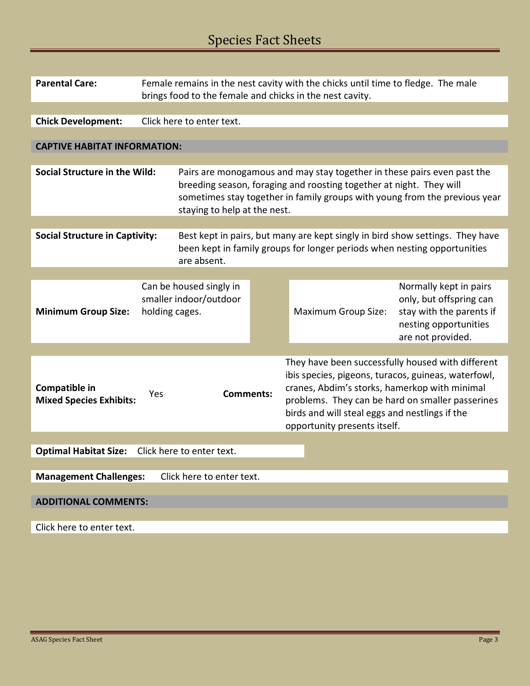| <b>Parental Care:</b>                                      | Female remains in the nest cavity with the chicks until time to fledge. The male<br>brings food to the female and chicks in the nest cavity. |                                                                                                                                                                                                                                                              |  |                                                                                                                                                                                                                                                                                                 |                                                                                                                             |  |  |
|------------------------------------------------------------|----------------------------------------------------------------------------------------------------------------------------------------------|--------------------------------------------------------------------------------------------------------------------------------------------------------------------------------------------------------------------------------------------------------------|--|-------------------------------------------------------------------------------------------------------------------------------------------------------------------------------------------------------------------------------------------------------------------------------------------------|-----------------------------------------------------------------------------------------------------------------------------|--|--|
|                                                            |                                                                                                                                              |                                                                                                                                                                                                                                                              |  |                                                                                                                                                                                                                                                                                                 |                                                                                                                             |  |  |
| <b>Chick Development:</b>                                  |                                                                                                                                              | Click here to enter text.                                                                                                                                                                                                                                    |  |                                                                                                                                                                                                                                                                                                 |                                                                                                                             |  |  |
|                                                            |                                                                                                                                              |                                                                                                                                                                                                                                                              |  |                                                                                                                                                                                                                                                                                                 |                                                                                                                             |  |  |
| <b>CAPTIVE HABITAT INFORMATION:</b>                        |                                                                                                                                              |                                                                                                                                                                                                                                                              |  |                                                                                                                                                                                                                                                                                                 |                                                                                                                             |  |  |
|                                                            |                                                                                                                                              |                                                                                                                                                                                                                                                              |  |                                                                                                                                                                                                                                                                                                 |                                                                                                                             |  |  |
| Social Structure in the Wild:                              |                                                                                                                                              | Pairs are monogamous and may stay together in these pairs even past the<br>breeding season, foraging and roosting together at night. They will<br>sometimes stay together in family groups with young from the previous year<br>staying to help at the nest. |  |                                                                                                                                                                                                                                                                                                 |                                                                                                                             |  |  |
|                                                            |                                                                                                                                              |                                                                                                                                                                                                                                                              |  |                                                                                                                                                                                                                                                                                                 |                                                                                                                             |  |  |
| <b>Social Structure in Captivity:</b>                      |                                                                                                                                              | Best kept in pairs, but many are kept singly in bird show settings. They have<br>been kept in family groups for longer periods when nesting opportunities<br>are absent.                                                                                     |  |                                                                                                                                                                                                                                                                                                 |                                                                                                                             |  |  |
|                                                            |                                                                                                                                              |                                                                                                                                                                                                                                                              |  |                                                                                                                                                                                                                                                                                                 |                                                                                                                             |  |  |
| <b>Minimum Group Size:</b>                                 | holding cages.                                                                                                                               | Can be housed singly in<br>smaller indoor/outdoor                                                                                                                                                                                                            |  | <b>Maximum Group Size:</b>                                                                                                                                                                                                                                                                      | Normally kept in pairs<br>only, but offspring can<br>stay with the parents if<br>nesting opportunities<br>are not provided. |  |  |
|                                                            |                                                                                                                                              |                                                                                                                                                                                                                                                              |  |                                                                                                                                                                                                                                                                                                 |                                                                                                                             |  |  |
| Compatible in<br><b>Mixed Species Exhibits:</b>            | <b>Comments:</b><br>Yes                                                                                                                      |                                                                                                                                                                                                                                                              |  | They have been successfully housed with different<br>ibis species, pigeons, turacos, guineas, waterfowl,<br>cranes, Abdim's storks, hamerkop with minimal<br>problems. They can be hard on smaller passerines<br>birds and will steal eggs and nestlings if the<br>opportunity presents itself. |                                                                                                                             |  |  |
|                                                            |                                                                                                                                              |                                                                                                                                                                                                                                                              |  |                                                                                                                                                                                                                                                                                                 |                                                                                                                             |  |  |
| <b>Optimal Habitat Size:</b><br>Click here to enter text.  |                                                                                                                                              |                                                                                                                                                                                                                                                              |  |                                                                                                                                                                                                                                                                                                 |                                                                                                                             |  |  |
| <b>Management Challenges:</b><br>Click here to enter text. |                                                                                                                                              |                                                                                                                                                                                                                                                              |  |                                                                                                                                                                                                                                                                                                 |                                                                                                                             |  |  |
| <b>ADDITIONAL COMMENTS:</b>                                |                                                                                                                                              |                                                                                                                                                                                                                                                              |  |                                                                                                                                                                                                                                                                                                 |                                                                                                                             |  |  |
| Click here to enter text.                                  |                                                                                                                                              |                                                                                                                                                                                                                                                              |  |                                                                                                                                                                                                                                                                                                 |                                                                                                                             |  |  |